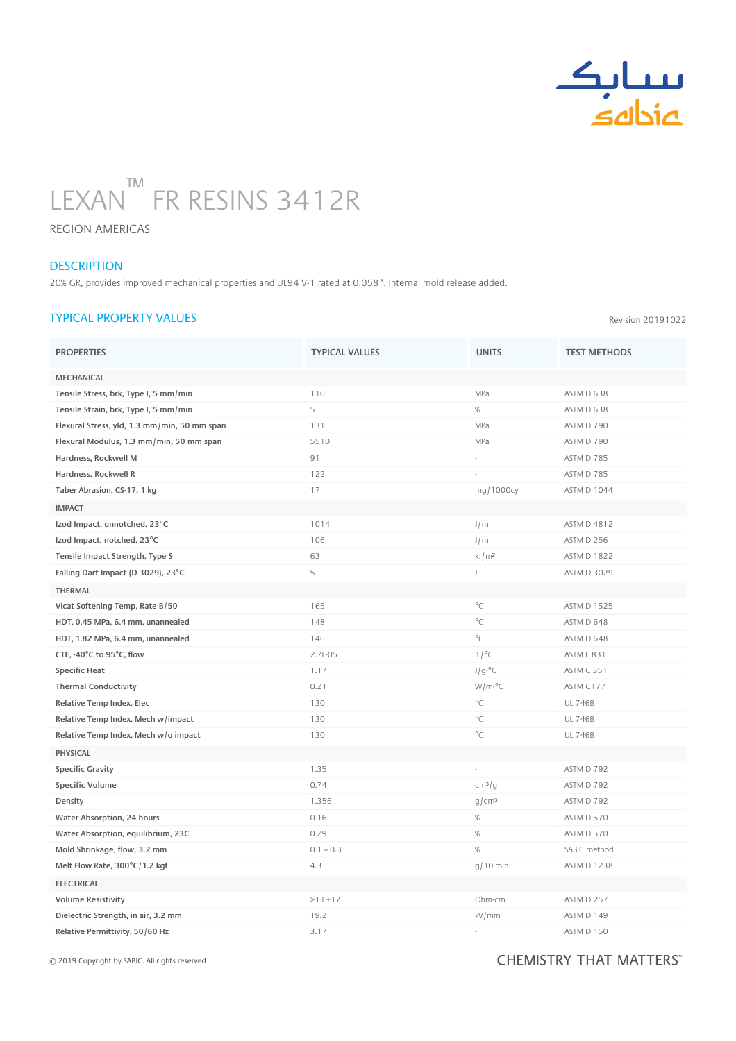

# LEXAN FR RESINS 3412R  $T M \begin{array}{ccc} \hline \end{array}$

REGION AMERICAS

#### **DESCRIPTION**

20% GR, provides improved mechanical properties and UL94 V-1 rated at 0.058". Internal mold release added.

## TYPICAL PROPERTY VALUES

PROPERTIES TEST METHODS TYPICAL VALUES TEST METHODS TEST METHODS MECHANICAL Tensile Stress, brk, Type I, 5 mm/min 110 110 MPa ASTM D 638 Tensile Strain, brk, Type I, 5 mm/min 638 Flexural Stress, yld, 1.3 mm/min, 50 mm span 131 131 131 MPa ASTM D 790 Flexural Modulus, 1.3 mm/min, 50 mm span 5510 5510 5510 MPa ASTM D 790 Hardness. Rockwell M 6 285 and 2008 and 2009 and 2009 and 30 and 30 and 30 and 30 and 30 and 30 and 40 and 40 and 40 and 40 and 40 and 40 and 40 and 40 and 40 and 40 and 40 and 40 and 40 and 40 and 40 and 40 and 40 and 40 Hardness, Rockwell R 122 and ASTM D 785 Taber Abrasion, CS-17, 1 kg 17 and 17 mg/1000cy and 17 mg/1000cy ASTM D 1044 IMPACT **Izod Impact, unnotched, 23°C** 1014 1014 J/m ASTM D 4812 Izod Impact, notched, 23°C 106 106 106 106 J/m ASTM D 256 Tensile Impact Strength, Type S<br>
Francisco Compact Strength, Type S<br>  $63$ <br>  $63$ <br>  $63$ <br>  $63$ <br>  $63$ <br>  $63$ <br>  $63$ <br>  $61/m^2$ Falling Dart Impact (D 3029), 23°C 5 J ASTM D 3029 THERMAL Vicat Softening Temp, Rate B/50 165 165 165 165 165 165 165 165 166 167 169 161 1625 162 164 165 165 166 167 16 HDT, 0.45 MPa, 6.4 mm, unannealed a set of the set of the 148  $\degree$ C and 148  $\degree$ C and 148  $\degree$ C ASTM D 648 HDT, 1.82 MPa, 6.4 mm, unannealed a control of the state of the 146 control of the 150 mm of the ASTM D 648 CTE,  $-40^{\circ}$ C to 95°C, flow 2.7E-05 2.7E-05 1/°C ASTM E 831  $\mathsf{Specific}\ \mathsf{Heat} \hspace{1.5cm} \mathsf{ASTM}\ C\ 351$ Thermal Conductivity and the conductivity of the conductivity of the conductivity of the conductivity of the conductivity of the conductivity of the conductivity of the conductivity of the conductivity of the conductivity Relative Temp Index, Elec **130 C** UL 746B Relative Temp Index, Mech w/impact and the control of the control of the control of the control of the control of the control of the control of the control of the control of the control of the control of the control of the Relative Temp Index, Mech w/o impact 130 and 130 control 130 control 130 control 1246B PHYSICAL Specific Gravity **1.35** - ASTM D 792  $\mathsf{Specific\,}$ Volume  $\mathsf{ASTM\,D}$   $792$ **Density and the constant of the constant of the constant of the constant of the constant of the constant of the constant of the constant of the constant of the constant of the constant of the constant of the constant of** Water Absorption, 24 hours and the control of the control of the control of the control of the control of the control of the control of the control of the control of the control of the control of the control of the control Water Absorption, equilibrium, 23C 0.29 0.29 % ASTM D 570 Mold Shrinkage, flow, 3.2 mm  $0.1 - 0.3$   $\%$  SABIC method Melt Flow Rate,  $300^{\circ}$ C/1.2 kgf  $4.3$   $4.3$   $4/3$   $4/10$  min ASTM D 1238 ELECTRICAL Volume Resistivity **ASTM D 257 COMPONE 257 COMPONE 257 COMPONE 257 COMPONE 257 COMPONE 257 COMPONE 257 COMPONE 257 COMPONE 257 COMPONE 257 COMPONE 257 COMPONE 257 COMPONE 257 COMPONE 257 COMPONE 257 COMPONE 257 COMPONE 2** Dielectric Strength, in air, 3.2 mm 19.2 19.2 kV/mm ASTM D 149 Relative Permittivity, 50/60 Hz 60.000 Hz 3.17 ASTM D 150

## © 2019 Copyright by SABIC. All rights reserved **Discussion Exercise 2.000 - Assets** CHEIVIIS I RY THAT

Revision 20191022